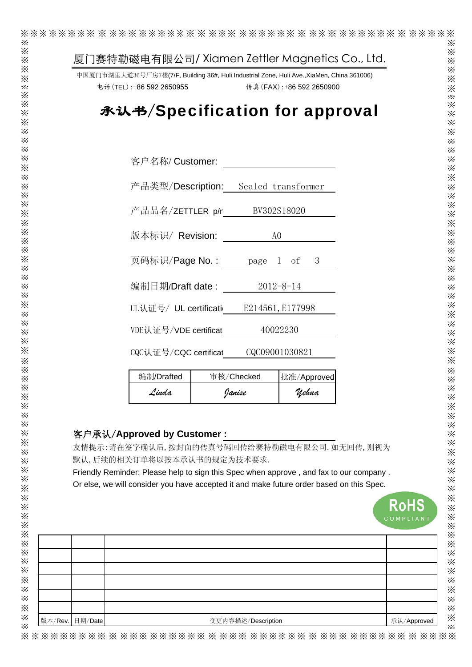| 厦门赛特勒磁电有限公司/Xiamen Zettler Magnetics Co., Ltd.                                                                                                                                     |                                   |                 |                           |  |             |
|------------------------------------------------------------------------------------------------------------------------------------------------------------------------------------|-----------------------------------|-----------------|---------------------------|--|-------------|
| 中国厦门市湖里大道36号厂房7楼(7/F, Building 36#, Huli Industrial Zone, Huli Ave., XiaMen, China 361006)                                                                                         |                                   |                 |                           |  |             |
| 电话 (TEL): +86 592 2650955                                                                                                                                                          |                                   |                 | 传真 (FAX): +86 592 2650900 |  |             |
| 承认书/Specification for approval                                                                                                                                                     |                                   |                 |                           |  |             |
|                                                                                                                                                                                    |                                   |                 |                           |  |             |
|                                                                                                                                                                                    |                                   |                 |                           |  |             |
|                                                                                                                                                                                    |                                   |                 |                           |  |             |
| 客户名称/ Customer:                                                                                                                                                                    |                                   |                 |                           |  |             |
| 产品类型/Description: Sealed transformer                                                                                                                                               |                                   |                 |                           |  |             |
|                                                                                                                                                                                    | 产品品名/ZETTLER p/r                  |                 |                           |  |             |
| BV302S18020                                                                                                                                                                        |                                   |                 |                           |  |             |
|                                                                                                                                                                                    | 版本标识/ Revision:<br>A <sub>0</sub> |                 |                           |  |             |
| 页码标识/ <b>Page No.:</b> page 1 of                                                                                                                                                   |                                   |                 | 3                         |  |             |
|                                                                                                                                                                                    |                                   |                 |                           |  |             |
| 编制日期/Draft date :                                                                                                                                                                  |                                   | $2012 - 8 - 14$ |                           |  |             |
|                                                                                                                                                                                    |                                   |                 |                           |  |             |
| UL认证号/ UL certificati E214561, E177998                                                                                                                                             |                                   |                 |                           |  |             |
|                                                                                                                                                                                    | 40022230<br>VDE认证号/VDE certificat |                 |                           |  |             |
|                                                                                                                                                                                    |                                   | CQC09001030821  |                           |  |             |
| CQC认证号/CQC certificat                                                                                                                                                              |                                   |                 |                           |  |             |
| 编制/Drafted                                                                                                                                                                         | 审核/Checked                        |                 | 批准/Approved               |  |             |
| Linda                                                                                                                                                                              |                                   | Janise          | <i><b>Uehua</b></i>       |  |             |
|                                                                                                                                                                                    |                                   |                 |                           |  |             |
|                                                                                                                                                                                    |                                   |                 |                           |  |             |
| 客户承认/Approved by Customer:                                                                                                                                                         |                                   |                 |                           |  |             |
| 友情提示:请在签字确认后,按封面的传真号码回传给赛特勒磁电有限公司. 如无回传,则视为                                                                                                                                        |                                   |                 |                           |  |             |
| 默认,后续的相关订单将以按本承认书的规定为技术要求.                                                                                                                                                         |                                   |                 |                           |  |             |
| Friendly Reminder: Please help to sign this Spec when approve, and fax to our company.<br>Or else, we will consider you have accepted it and make future order based on this Spec. |                                   |                 |                           |  |             |
|                                                                                                                                                                                    |                                   |                 |                           |  |             |
|                                                                                                                                                                                    |                                   |                 |                           |  | <b>RoHS</b> |
|                                                                                                                                                                                    |                                   |                 |                           |  | COMPLIANT   |
|                                                                                                                                                                                    |                                   |                 |                           |  |             |
|                                                                                                                                                                                    |                                   |                 |                           |  |             |
|                                                                                                                                                                                    |                                   |                 |                           |  |             |
|                                                                                                                                                                                    |                                   |                 |                           |  |             |
|                                                                                                                                                                                    |                                   |                 |                           |  |             |
|                                                                                                                                                                                    |                                   |                 |                           |  |             |

※※※※※※※※ ※ ※※※※※※※※※ ※ ※※※ ※※※※※※ ※ ※※※ ※※※※※※ ※ ※※※※※